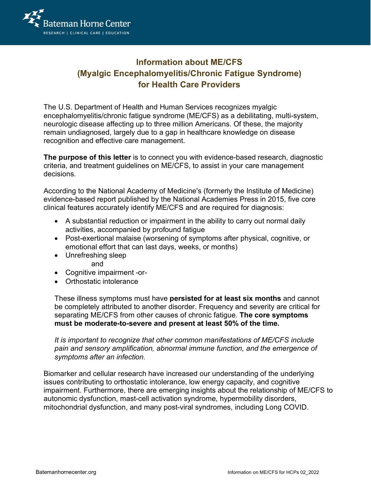

## **Information about ME/CFS (Myalgic Encephalomyelitis/Chronic Fatigue Syndrome) for Health Care Providers**

The U.S. Department of Health and Human Services recognizes myalgic encephalomyelitis/chronic fatigue syndrome (ME/CFS) as a debilitating, multi-system, neurologic disease affecting up to three million Americans. Of these, the majority remain undiagnosed, largely due to a gap in healthcare knowledge on disease recognition and effective care management.

**The purpose of this letter** is to connect you with evidence-based research, diagnostic criteria, and treatment guidelines on ME/CFS, to assist in your care management decisions*.*

According to the National Academy of Medicine's (formerly the Institute of Medicine) evidence-based report published by the National Academies Press in 2015, five core clinical features accurately identify ME/CFS and are required for diagnosis:

- A substantial reduction or impairment in the ability to carry out normal daily activities, accompanied by profound fatigue
- Post-exertional malaise (worsening of symptoms after physical, cognitive, or emotional effort that can last days, weeks, or months)
- Unrefreshing sleep

and

- Cognitive impairment -or-
- Orthostatic intolerance

These illness symptoms must have **persisted for at least six months** and cannot be completely attributed to another disorder. Frequency and severity are critical for separating ME/CFS from other causes of chronic fatigue. **The core symptoms must be moderate-to-severe and present at least 50% of the time.**

*It is important to recognize that other common manifestations of ME/CFS include pain and sensory amplification, abnormal immune function, and the emergence of symptoms after an infection.*

Biomarker and cellular research have increased our understanding of the underlying issues contributing to orthostatic intolerance, low energy capacity, and cognitive impairment. Furthermore, there are emerging insights about the relationship of ME/CFS to autonomic dysfunction, mast-cell activation syndrome, hypermobility disorders, mitochondrial dysfunction, and many post-viral syndromes, including Long COVID.